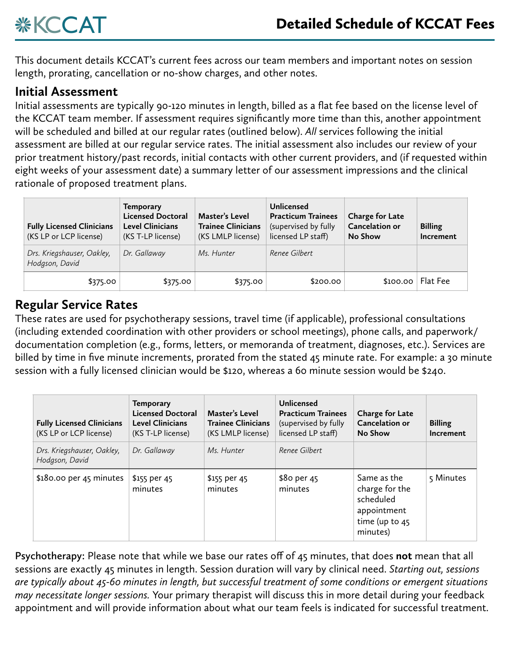

This document details KCCAT's current fees across our team members and important notes on session length, prorating, cancellation or no-show charges, and other notes.

## **Initial Assessment**

Initial assessments are typically 90-120 minutes in length, billed as a flat fee based on the license level of the KCCAT team member. If assessment requires significantly more time than this, another appointment will be scheduled and billed at our regular rates (outlined below). *All* services following the initial assessment are billed at our regular service rates. The initial assessment also includes our review of your prior treatment history/past records, initial contacts with other current providers, and (if requested within eight weeks of your assessment date) a summary letter of our assessment impressions and the clinical rationale of proposed treatment plans.

| <b>Fully Licensed Clinicians</b><br>(KS LP or LCP license) | <b>Temporary</b><br><b>Licensed Doctoral</b><br><b>Level Clinicians</b><br>(KS T-LP license) | Master's Level<br><b>Trainee Clinicians</b><br>(KS LMLP license) | <b>Unlicensed</b><br><b>Practicum Trainees</b><br>(supervised by fully<br>licensed LP staff) | <b>Charge for Late</b><br><b>Cancelation or</b><br>No Show | <b>Billing</b><br>Increment |
|------------------------------------------------------------|----------------------------------------------------------------------------------------------|------------------------------------------------------------------|----------------------------------------------------------------------------------------------|------------------------------------------------------------|-----------------------------|
| Drs. Kriegshauser, Oakley,<br>Hodgson, David               | Dr. Gallaway                                                                                 | Ms. Hunter                                                       | Renee Gilbert                                                                                |                                                            |                             |
| \$375.00                                                   | \$375.00                                                                                     | \$375.00                                                         | \$200.00                                                                                     | \$100.00                                                   | Flat Fee                    |

## **Regular Service Rates**

These rates are used for psychotherapy sessions, travel time (if applicable), professional consultations (including extended coordination with other providers or school meetings), phone calls, and paperwork/ documentation completion (e.g., forms, letters, or memoranda of treatment, diagnoses, etc.). Services are billed by time in five minute increments, prorated from the stated 45 minute rate. For example: a 30 minute session with a fully licensed clinician would be \$120, whereas a 60 minute session would be \$240.

| <b>Fully Licensed Clinicians</b><br>(KS LP or LCP license) | <b>Temporary</b><br><b>Licensed Doctoral</b><br><b>Level Clinicians</b><br>(KS T-LP license) | Master's Level<br><b>Trainee Clinicians</b><br>(KS LMLP license) | Unlicensed<br><b>Practicum Trainees</b><br>(supervised by fully<br>licensed LP staff) | <b>Charge for Late</b><br>Cancelation or<br><b>No Show</b>                                | <b>Billing</b><br>Increment |
|------------------------------------------------------------|----------------------------------------------------------------------------------------------|------------------------------------------------------------------|---------------------------------------------------------------------------------------|-------------------------------------------------------------------------------------------|-----------------------------|
| Drs. Kriegshauser, Oakley,<br>Hodgson, David               | Dr. Gallaway                                                                                 | Ms. Hunter                                                       | Renee Gilbert                                                                         |                                                                                           |                             |
| \$180.00 per 45 minutes                                    | \$155 per 45<br>minutes                                                                      | \$155 per 45<br>minutes                                          | \$80 per 45<br>minutes                                                                | Same as the<br>charge for the<br>scheduled<br>appointment<br>time (up to $45$<br>minutes) | 5 Minutes                   |

**Psychotherapy:** Please note that while we base our rates off of 45 minutes, that does **not** mean that all sessions are exactly 45 minutes in length. Session duration will vary by clinical need. *Starting out, sessions are typically about 45-60 minutes in length, but successful treatment of some conditions or emergent situations may necessitate longer sessions.* Your primary therapist will discuss this in more detail during your feedback appointment and will provide information about what our team feels is indicated for successful treatment.